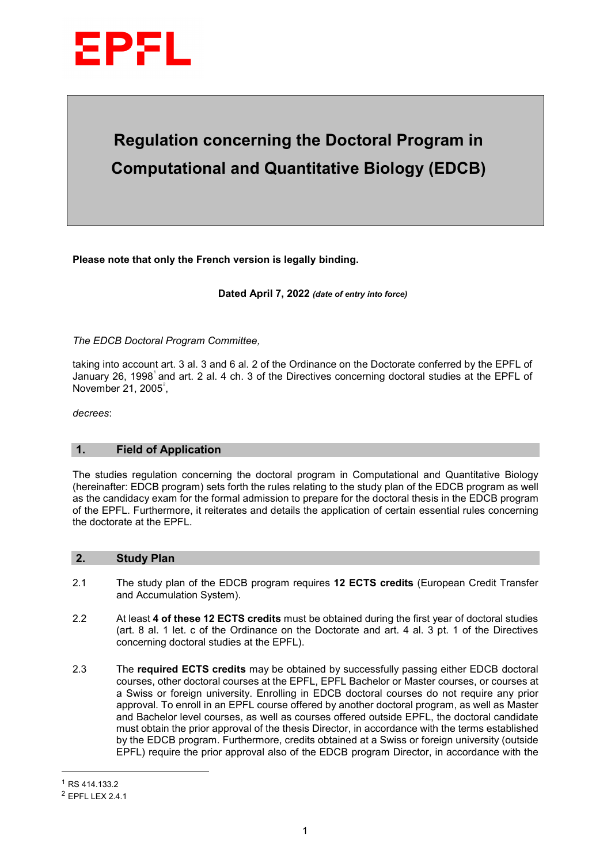

# **Regulation concerning the Doctoral Program in Computational and Quantitative Biology (EDCB)**

**Please note that only the French version is legally binding.**

**Dated April 7, 2022** *(date of entry into force)*

*The EDCB Doctoral Program Committee,*

taking into account art. 3 al. 3 and 6 al. 2 of the Ordinance on the Doctorate conferred by the EPFL of January 26, [1](#page-0-0)998 $^{\circ}$  and art. 2 al. 4 ch. 3 of the Directives concerning doctoral studies at the EPFL of November [2](#page-0-1)1, 2005 $\degree$ ,

*decrees*:

#### **1. Field of Application**

The studies regulation concerning the doctoral program in Computational and Quantitative Biology (hereinafter: EDCB program) sets forth the rules relating to the study plan of the EDCB program as well as the candidacy exam for the formal admission to prepare for the doctoral thesis in the EDCB program of the EPFL. Furthermore, it reiterates and details the application of certain essential rules concerning the doctorate at the EPFL.

# **2. Study Plan**

- 2.1 The study plan of the EDCB program requires **12 ECTS credits** (European Credit Transfer and Accumulation System).
- 2.2 At least **4 of these 12 ECTS credits** must be obtained during the first year of doctoral studies (art. 8 al. 1 let. c of the Ordinance on the Doctorate and art. 4 al. 3 pt. 1 of the Directives concerning doctoral studies at the EPFL).
- 2.3 The **required ECTS credits** may be obtained by successfully passing either EDCB doctoral courses, other doctoral courses at the EPFL, EPFL Bachelor or Master courses, or courses at a Swiss or foreign university. Enrolling in EDCB doctoral courses do not require any prior approval. To enroll in an EPFL course offered by another doctoral program, as well as Master and Bachelor level courses, as well as courses offered outside EPFL, the doctoral candidate must obtain the prior approval of the thesis Director, in accordance with the terms established by the EDCB program. Furthermore, credits obtained at a Swiss or foreign university (outside EPFL) require the prior approval also of the EDCB program Director, in accordance with the

j.

<span id="page-0-0"></span><sup>1</sup> RS 414.133.2

<span id="page-0-1"></span><sup>2</sup> EPFL LEX 2.4.1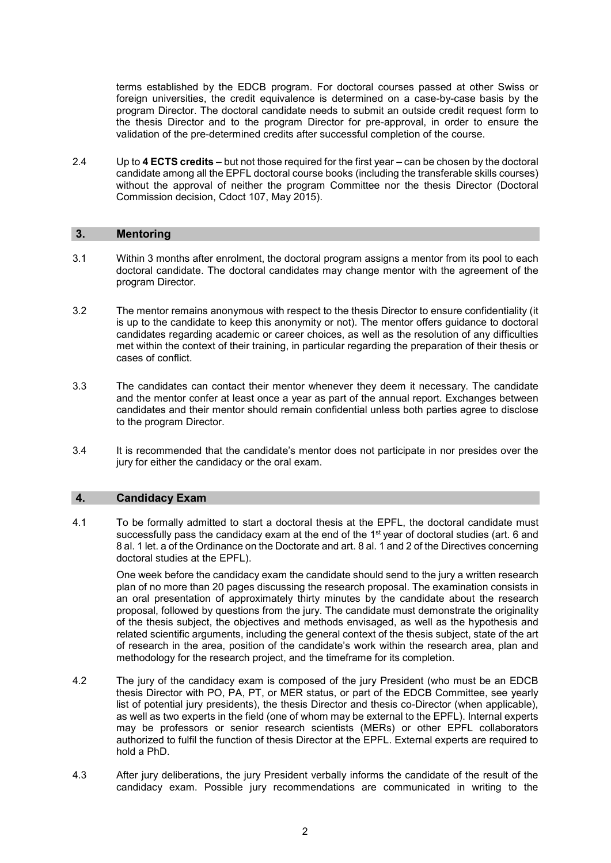terms established by the EDCB program. For doctoral courses passed at other Swiss or foreign universities, the credit equivalence is determined on a case-by-case basis by the program Director. The doctoral candidate needs to submit an outside credit request form to the thesis Director and to the program Director for pre-approval, in order to ensure the validation of the pre-determined credits after successful completion of the course.

2.4 Up to **4 ECTS credits** – but not those required for the first year – can be chosen by the doctoral candidate among all the EPFL doctoral course books (including the transferable skills courses) without the approval of neither the program Committee nor the thesis Director (Doctoral Commission decision, Cdoct 107, May 2015).

# **3. Mentoring**

- 3.1 Within 3 months after enrolment, the doctoral program assigns a mentor from its pool to each doctoral candidate. The doctoral candidates may change mentor with the agreement of the program Director.
- 3.2 The mentor remains anonymous with respect to the thesis Director to ensure confidentiality (it is up to the candidate to keep this anonymity or not). The mentor offers guidance to doctoral candidates regarding academic or career choices, as well as the resolution of any difficulties met within the context of their training, in particular regarding the preparation of their thesis or cases of conflict.
- 3.3 The candidates can contact their mentor whenever they deem it necessary. The candidate and the mentor confer at least once a year as part of the annual report. Exchanges between candidates and their mentor should remain confidential unless both parties agree to disclose to the program Director.
- 3.4 It is recommended that the candidate's mentor does not participate in nor presides over the jury for either the candidacy or the oral exam.

### **4. Candidacy Exam**

4.1 To be formally admitted to start a doctoral thesis at the EPFL, the doctoral candidate must successfully pass the candidacy exam at the end of the 1<sup>st</sup> year of doctoral studies (art. 6 and 8 al. 1 let. a of the Ordinance on the Doctorate and art. 8 al. 1 and 2 of the Directives concerning doctoral studies at the EPFL).

One week before the candidacy exam the candidate should send to the jury a written research plan of no more than 20 pages discussing the research proposal. The examination consists in an oral presentation of approximately thirty minutes by the candidate about the research proposal, followed by questions from the jury. The candidate must demonstrate the originality of the thesis subject, the objectives and methods envisaged, as well as the hypothesis and related scientific arguments, including the general context of the thesis subject, state of the art of research in the area, position of the candidate's work within the research area, plan and methodology for the research project, and the timeframe for its completion.

- 4.2 The jury of the candidacy exam is composed of the jury President (who must be an EDCB thesis Director with PO, PA, PT, or MER status, or part of the EDCB Committee, see yearly list of potential jury presidents), the thesis Director and thesis co-Director (when applicable), as well as two experts in the field (one of whom may be external to the EPFL). Internal experts may be professors or senior research scientists (MERs) or other EPFL collaborators authorized to fulfil the function of thesis Director at the EPFL. External experts are required to hold a PhD.
- 4.3 After jury deliberations, the jury President verbally informs the candidate of the result of the candidacy exam. Possible jury recommendations are communicated in writing to the